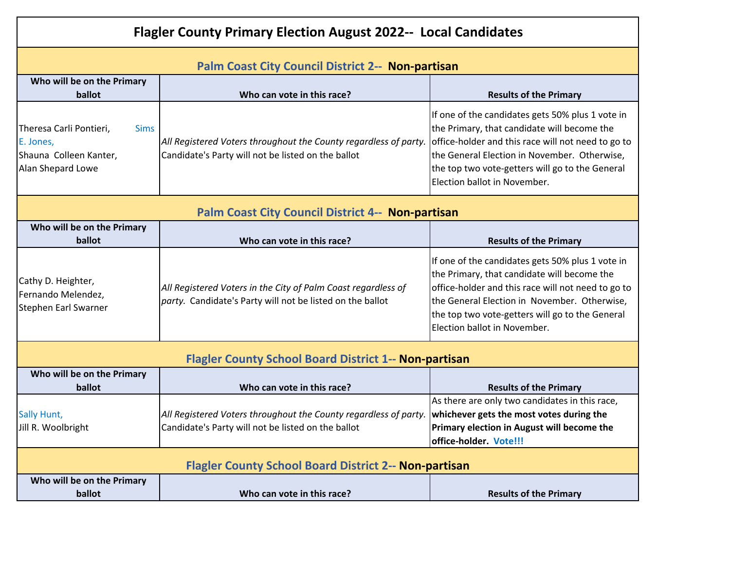| <b>Flagler County Primary Election August 2022-- Local Candidates</b>                              |                                                                                                                            |                                                                                                                                                                                                                                                                                          |  |
|----------------------------------------------------------------------------------------------------|----------------------------------------------------------------------------------------------------------------------------|------------------------------------------------------------------------------------------------------------------------------------------------------------------------------------------------------------------------------------------------------------------------------------------|--|
| Palm Coast City Council District 2-- Non-partisan                                                  |                                                                                                                            |                                                                                                                                                                                                                                                                                          |  |
| Who will be on the Primary<br>ballot                                                               | Who can vote in this race?                                                                                                 | <b>Results of the Primary</b>                                                                                                                                                                                                                                                            |  |
| Theresa Carli Pontieri,<br><b>Sims</b><br>E. Jones,<br>Shauna Colleen Kanter,<br>Alan Shepard Lowe | All Registered Voters throughout the County regardless of party.<br>Candidate's Party will not be listed on the ballot     | If one of the candidates gets 50% plus 1 vote in<br>the Primary, that candidate will become the<br>office-holder and this race will not need to go to<br>the General Election in November. Otherwise,<br>the top two vote-getters will go to the General<br>Election ballot in November. |  |
| <b>Palm Coast City Council District 4-- Non-partisan</b>                                           |                                                                                                                            |                                                                                                                                                                                                                                                                                          |  |
| Who will be on the Primary<br>ballot                                                               | Who can vote in this race?                                                                                                 | <b>Results of the Primary</b>                                                                                                                                                                                                                                                            |  |
| Cathy D. Heighter,<br>Fernando Melendez,<br>Stephen Earl Swarner                                   | All Registered Voters in the City of Palm Coast regardless of<br>party. Candidate's Party will not be listed on the ballot | If one of the candidates gets 50% plus 1 vote in<br>the Primary, that candidate will become the<br>office-holder and this race will not need to go to<br>the General Election in November. Otherwise,<br>the top two vote-getters will go to the General<br>Election ballot in November. |  |
| <b>Flagler County School Board District 1-- Non-partisan</b>                                       |                                                                                                                            |                                                                                                                                                                                                                                                                                          |  |
| Who will be on the Primary<br>ballot                                                               | Who can vote in this race?                                                                                                 | <b>Results of the Primary</b>                                                                                                                                                                                                                                                            |  |
| Sally Hunt,<br>Jill R. Woolbright                                                                  | All Registered Voters throughout the County regardless of party.<br>Candidate's Party will not be listed on the ballot     | As there are only two candidates in this race,<br>whichever gets the most votes during the<br>Primary election in August will become the<br>office-holder. Vote!!!                                                                                                                       |  |
| <b>Flagler County School Board District 2-- Non-partisan</b>                                       |                                                                                                                            |                                                                                                                                                                                                                                                                                          |  |
| Who will be on the Primary<br>ballot                                                               | Who can vote in this race?                                                                                                 | <b>Results of the Primary</b>                                                                                                                                                                                                                                                            |  |